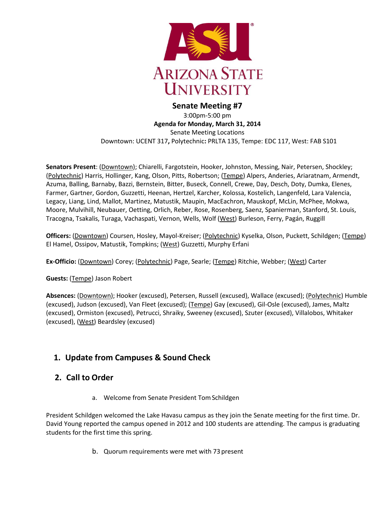

#### **Senate Meeting #7** 3:00pm-5:00 pm **Agenda for Monday, March 31, 2014** Senate Meeting Locations Downtown: UCENT 317**,** Polytechnic**:** PRLTA 135, Tempe: EDC 117, West: FAB S101

**Senators Present**: (Downtown); Chiarelli, Fargotstein, Hooker, Johnston, Messing, Nair, Petersen, Shockley; (Polytechnic) Harris, Hollinger, Kang, Olson, Pitts, Robertson; (Tempe) Alpers, Anderies, Ariaratnam, Armendt, Azuma, Balling, Barnaby, Bazzi, Bernstein, Bitter, Buseck, Connell, Crewe, Day, Desch, Doty, Dumka, Elenes, Farmer, Gartner, Gordon, Guzzetti, Heenan, Hertzel, Karcher, Kolossa, Kostelich, Langenfeld, Lara Valencia, Legacy, Liang, Lind, Mallot, Martinez, Matustik, Maupin, MacEachron, Mauskopf, McLin, McPhee, Mokwa, Moore, Mulvihill, Neubauer, Oetting, Orlich, Reber, Rose, Rosenberg, Saenz, Spanierman, Stanford, St. Louis, Tracogna, Tsakalis, Turaga, Vachaspati, Vernon, Wells, Wolf (West) Burleson, Ferry, Pagán, Ruggill

**Officers:** (Downtown) Coursen, Hosley, Mayol-Kreiser; (Polytechnic) Kyselka, Olson, Puckett, Schildgen; (Tempe) El Hamel, Ossipov, Matustik, Tompkins; (West) Guzzetti, Murphy Erfani

**Ex-Officio:** (Downtown) Corey; (Polytechnic) Page, Searle; (Tempe) Ritchie, Webber; (West) Carter

**Guests:** (Tempe) Jason Robert

**Absences:** (Downtown); Hooker (excused), Petersen, Russell (excused), Wallace (excused); (Polytechnic) Humble (excused), Judson (excused), Van Fleet (excused); (Tempe) Gay (excused), Gil-Osle (excused), James, Maltz (excused), Ormiston (excused), Petrucci, Shraiky, Sweeney (excused), Szuter (excused), Villalobos, Whitaker (excused), (West) Beardsley (excused)

# **1. Update from Campuses & Sound Check**

## **2. Call to Order**

a. Welcome from Senate President Tom Schildgen

President Schildgen welcomed the Lake Havasu campus as they join the Senate meeting for the first time. Dr. David Young reported the campus opened in 2012 and 100 students are attending. The campus is graduating students for the first time this spring.

b. Quorum requirements were met with 73 present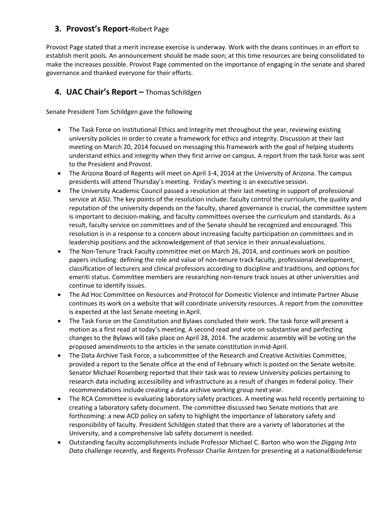## **3. Provost's Report-**Robert Page

Provost Page stated that a merit increase exercise is underway. Work with the deans continues in an effort to establish merit pools. An announcement should be made soon; at this time resources are being consolidated to make the increases possible. Provost Page commented on the importance of engaging in the senate and shared governance and thanked everyone for their efforts.

## **4. UAC Chair's Report –** Thomas Schildgen

Senate President Tom Schildgen gave the following

- The Task Force on Institutional Ethics and Integrity met throughout the year, reviewing existing university policies in order to create a framework for ethics and integrity. Discussion at their last meeting on March 20, 2014 focused on messaging this framework with the goal of helping students understand ethics and integrity when they first arrive on campus. A report from the task force was sent to the President and Provost.
- The Arizona Board of Regents will meet on April 3-4, 2014 at the University of Arizona. The campus presidents will attend Thursday's meeting. Friday's meeting is an executive session.
- The University Academic Council passed a resolution at their last meeting in support of professional service at ASU. The key points of the resolution include: faculty control the curriculum, the quality and reputation of the university depends on the faculty, shared governance is crucial, the committee system is important to decision-making, and faculty committees oversee the curriculum and standards. As a result, faculty service on committees and of the Senate should be recognized and encouraged. This resolution is in a response to a concern about increasing faculty participation on committees and in leadership positions and the acknowledgement of that service in their annualevaluations.
- The Non-Tenure Track Faculty committee met on March 26, 2014, and continues work on position papers including: defining the role and value of non-tenure track faculty, professional development, classification of lecturers and clinical professors according to discipline and traditions, and options for emeriti status. Committee members are researching non-tenure track issues at other universities and continue to identify issues.
- The Ad Hoc Committee on Resources and Protocol for Domestic Violence and Intimate Partner Abuse continues its work on a website that will coordinate university resources. A report from the committee is expected at the last Senate meeting in April.
- The Task Force on the Constitution and Bylaws concluded their work. The task force will present a motion as a first read at today's meeting. A second read and vote on substantive and perfecting changes to the Bylaws will take place on April 28, 2014. The academic assembly will be voting on the proposed amendments to the articles in the senate constitution inmid-April.
- The Data Archive Task Force, a subcommittee of the Research and Creative Activities Committee, provided a report to the Senate office at the end of February which is posted on the Senate website. Senator Michael Rosenberg reported that their task was to review University policies pertaining to research data including accessibility and infrastructure as a result of changes in federal policy. Their recommendations include creating a data archive working group next year.
- The RCA Committee is evaluating laboratory safety practices. A meeting was held recently pertaining to creating a laboratory safety document. The committee discussed two Senate motions that are forthcoming: a new ACD policy on safety to highlight the importance of laboratory safety and responsibility of faculty. President Schildgen stated that there are a variety of laboratories at the University, and a comprehensive lab safety document is needed.
- Outstanding faculty accomplishments include Professor Michael C. Barton who won the *Digging Into Data* challenge recently, and Regents Professor Charlie Arntzen for presenting at a nationalBiodefense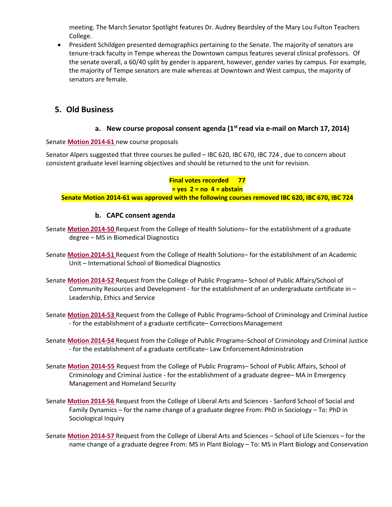meeting. The March Senator Spotlight features Dr. Audrey Beardsley of the Mary Lou Fulton Teachers College.

• President Schildgen presented demographics pertaining to the Senate. The majority of senators are tenure-track faculty in Tempe whereas the Downtown campus features several clinical professors. Of the senate overall, a 60/40 split by gender is apparent, however, gender varies by campus. For example, the majority of Tempe senators are male whereas at Downtown and West campus, the majority of senators are female.

## **5. Old Business**

#### **a. New course proposal consent agenda (1st read via e-mail on March 17, 2014)**

#### Senate **[Motion 2014-61](http://usenate.asu.edu/node/4924)** new course proposals

Senator Alpers suggested that three courses be pulled – IBC 620, IBC 670, IBC 724 , due to concern about consistent graduate level learning objectives and should be returned to the unit for revision.

**Final votes recorded 77 = yes 2 = no 4 = abstain Senate Motion 2014-61 was approved with the following courses removed IBC 620, IBC 670, IBC 724**

### **b. CAPC consent agenda**

- Senate **[Motion 2014-50](http://usenate.asu.edu/node/4905)** Request from the College of Health Solutions– for the establishment of a graduate degree – MS in Biomedical Diagnostics
- Senate **[Motion 2014-51](http://usenate.asu.edu/node/4906)** Request from the College of Health Solutions– for the establishment of an Academic Unit – International School of Biomedical Diagnostics
- Senate **[Motion 2014-52](http://usenate.asu.edu/node/4907)** Request from the College of Public Programs– School of Public Affairs/School of Community Resources and Development - for the establishment of an undergraduate certificate in – Leadership, Ethics and Service
- Senate **[Motion 2014-53](http://usenate.asu.edu/node/4908)** Request from the College of Public Programs–School of Criminology and Criminal Justice - for the establishment of a graduate certificate– CorrectionsManagement
- Senate **[Motion 2014-54](http://usenate.asu.edu/node/4909)** Request from the College of Public Programs–School of Criminology and Criminal Justice - for the establishment of a graduate certificate– Law EnforcementAdministration
- Senate **[Motion 2014-55](http://usenate.asu.edu/node/4910)** Request from the College of Public Programs– School of Public Affairs, School of Criminology and Criminal Justice - for the establishment of a graduate degree– MA in Emergency Management and Homeland Security
- Senate **[Motion 2014-56](http://usenate.asu.edu/node/4912)** Request from the College of Liberal Arts and Sciences Sanford School of Social and Family Dynamics – for the name change of a graduate degree From: PhD in Sociology – To: PhD in Sociological Inquiry
- Senate **[Motion 2014-57](http://usenate.asu.edu/node/4913)** Request from the College of Liberal Arts and Sciences School of Life Sciences for the name change of a graduate degree From: MS in Plant Biology – To: MS in Plant Biology and Conservation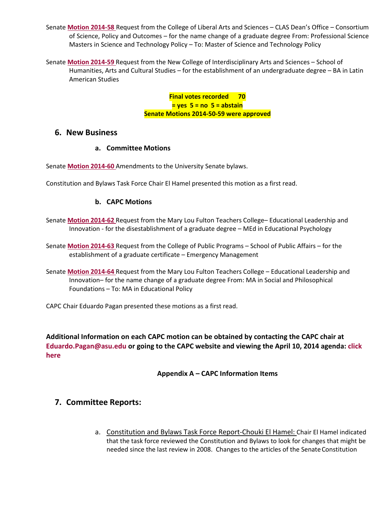Senate **[Motion 2014-58](http://usenate.asu.edu/node/4914)** Request from the College of Liberal Arts and Sciences – CLAS Dean's Office – Consortium of Science, Policy and Outcomes – for the name change of a graduate degree From: Professional Science Masters in Science and Technology Policy – To: Master of Science and Technology Policy

Senate **[Motion 2014-59](http://usenate.asu.edu/node/4915)** Request from the New College of Interdisciplinary Arts and Sciences – School of Humanities, Arts and Cultural Studies – for the establishment of an undergraduate degree – BA in Latin American Studies

> **Final votes recorded 70 = yes 5 = no 5 = abstain Senate Motions 2014-50-59 were approved**

#### **6. New Business**

#### **a. Committee Motions**

Senate **[Motion 2014-60](http://usenate.asu.edu/node/4926)** Amendments to the University Senate bylaws.

Constitution and Bylaws Task Force Chair El Hamel presented this motion as a first read.

#### **b. CAPC Motions**

- Senate **[Motion 2014-62](http://usenate.asu.edu/node/4927)** Request from the Mary Lou Fulton Teachers College– Educational Leadership and Innovation - for the disestablishment of a graduate degree – MEd in Educational Psychology
- Senate **[Motion 2014-63](http://usenate.asu.edu/node/4928)** Request from the College of Public Programs School of Public Affairs for the establishment of a graduate certificate – Emergency Management
- Senate **[Motion 2014-64](http://usenate.asu.edu/node/4929)** Request from the Mary Lou Fulton Teachers College Educational Leadership and Innovation– for the name change of a graduate degree From: MA in Social and Philosophical Foundations – To: MA in Educational Policy

CAPC Chair Eduardo Pagan presented these motions as a first read.

**Additional Information on each CAPC motion can be obtained by contacting the CAPC chair at [Eduardo.Pagan@asu.edu](mailto:Eduardo.Pagan@asu.edu) or going to the CAPC website and viewing the April 10, 2014 agenda[: click](https://provost.asu.edu/capc/agenda) [here](https://provost.asu.edu/capc/agenda)**

**Appendix A – CAPC Information Items**

### **7. Committee Reports:**

a. Constitution and Bylaws Task Force Report-Chouki El Hamel: Chair El Hamel indicated that the task force reviewed the Constitution and Bylaws to look for changes that might be needed since the last review in 2008. Changes to the articles of the Senate Constitution